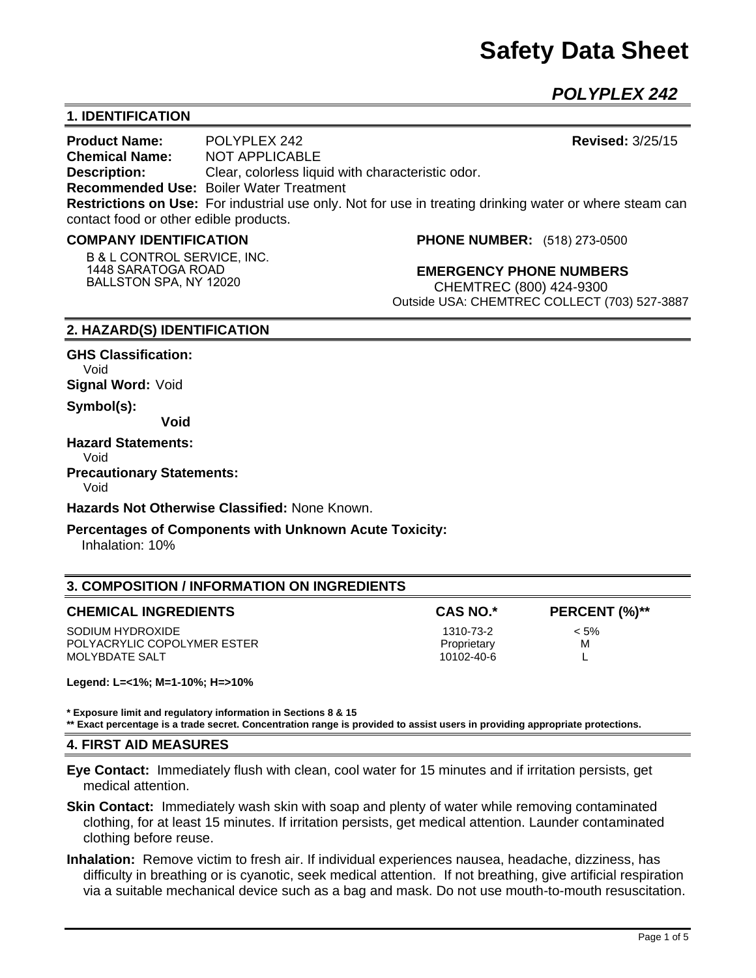# **Safety Data Sheet**

*POLYPLEX 242*

# **1. IDENTIFICATION**

**Product Name:** POLYPLEX 242 **Revised:** 3/25/15 **Chemical Name:** NOT APPLICABLE **Description:** Clear, colorless liquid with characteristic odor. **Recommended Use:** Boiler Water Treatment **Restrictions on Use:** For industrial use only. Not for use in treating drinking water or where steam can contact food or other edible products.

#### **COMPANY IDENTIFICATION**

**B & L CONTROL SERVICE, INC. 1448 SARATOGA ROAD BALLSTON SPA, NY 12020**

**PHONE NUMBER:** (518) 273-0500

**EMERGENCY PHONE NUMBERS** CHEMTREC (800) 424-9300 Outside USA: CHEMTREC COLLECT (703) 527-3887

#### **2. HAZARD(S) IDENTIFICATION**

**GHS Classification:** Void **Signal Word:** Void

**Symbol(s):** 

**Void** 

#### **Hazard Statements:**

Void

**Precautionary Statements:** 

Void

**Hazards Not Otherwise Classified:** None Known.

#### **Percentages of Components with Unknown Acute Toxicity:**

Inhalation: 10%

## **3. COMPOSITION / INFORMATION ON INGREDIENTS**

SODIUM HYDROXIDE  $\sim$  5% POLYACRYLIC COPOLYMER ESTER **PROPRIET ASSAULT COPOLYMER ESTER Proprietary M** MOLYBDATE SALT LOOP CONTROLLER THE SALT CONTROLLER SALT AND LOOP CONTROLLER THE SALT CONTROLLER THE SALT CONTROLLER THE SALT CONTROLLER THE SALT CONTROLLER THE SALT CONTROLLER THE SALT CONTROLLER THE SALT CONTROLLER THE SA

CAS NO.\* PERCENT (%)\*\*

**Legend: L=<1%; M=1-10%; H=>10%**

**\* Exposure limit and regulatory information in Sections 8 & 15**

**\*\* Exact percentage is a trade secret. Concentration range is provided to assist users in providing appropriate protections.** 

#### **4. FIRST AID MEASURES**

**Eye Contact:** Immediately flush with clean, cool water for 15 minutes and if irritation persists, get medical attention.

**Skin Contact:** Immediately wash skin with soap and plenty of water while removing contaminated clothing, for at least 15 minutes. If irritation persists, get medical attention. Launder contaminated clothing before reuse.

**Inhalation:** Remove victim to fresh air. If individual experiences nausea, headache, dizziness, has difficulty in breathing or is cyanotic, seek medical attention. If not breathing, give artificial respiration via a suitable mechanical device such as a bag and mask. Do not use mouth-to-mouth resuscitation.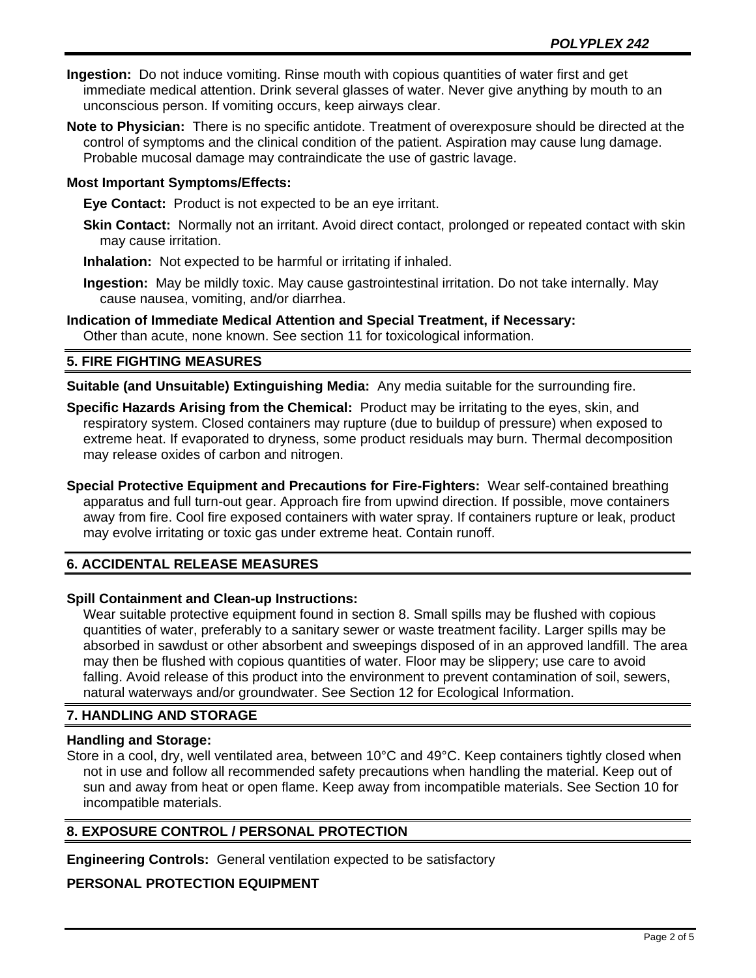- **Ingestion:** Do not induce vomiting. Rinse mouth with copious quantities of water first and get immediate medical attention. Drink several glasses of water. Never give anything by mouth to an unconscious person. If vomiting occurs, keep airways clear.
- **Note to Physician:** There is no specific antidote. Treatment of overexposure should be directed at the control of symptoms and the clinical condition of the patient. Aspiration may cause lung damage. Probable mucosal damage may contraindicate the use of gastric lavage.

## **Most Important Symptoms/Effects:**

**Eye Contact:** Product is not expected to be an eye irritant.

- **Skin Contact:** Normally not an irritant. Avoid direct contact, prolonged or repeated contact with skin may cause irritation.
- **Inhalation:** Not expected to be harmful or irritating if inhaled.
- **Ingestion:** May be mildly toxic. May cause gastrointestinal irritation. Do not take internally. May cause nausea, vomiting, and/or diarrhea.
- **Indication of Immediate Medical Attention and Special Treatment, if Necessary:** Other than acute, none known. See section 11 for toxicological information.

## **5. FIRE FIGHTING MEASURES**

**Suitable (and Unsuitable) Extinguishing Media:** Any media suitable for the surrounding fire.

- **Specific Hazards Arising from the Chemical:** Product may be irritating to the eyes, skin, and respiratory system. Closed containers may rupture (due to buildup of pressure) when exposed to extreme heat. If evaporated to dryness, some product residuals may burn. Thermal decomposition may release oxides of carbon and nitrogen.
- **Special Protective Equipment and Precautions for Fire-Fighters:** Wear self-contained breathing apparatus and full turn-out gear. Approach fire from upwind direction. If possible, move containers away from fire. Cool fire exposed containers with water spray. If containers rupture or leak, product may evolve irritating or toxic gas under extreme heat. Contain runoff.

# **6. ACCIDENTAL RELEASE MEASURES**

## **Spill Containment and Clean-up Instructions:**

Wear suitable protective equipment found in section 8. Small spills may be flushed with copious quantities of water, preferably to a sanitary sewer or waste treatment facility. Larger spills may be absorbed in sawdust or other absorbent and sweepings disposed of in an approved landfill. The area may then be flushed with copious quantities of water. Floor may be slippery; use care to avoid falling. Avoid release of this product into the environment to prevent contamination of soil, sewers, natural waterways and/or groundwater. See Section 12 for Ecological Information.

# **7. HANDLING AND STORAGE**

## **Handling and Storage:**

Store in a cool, dry, well ventilated area, between 10°C and 49°C. Keep containers tightly closed when not in use and follow all recommended safety precautions when handling the material. Keep out of sun and away from heat or open flame. Keep away from incompatible materials. See Section 10 for incompatible materials.

# **8. EXPOSURE CONTROL / PERSONAL PROTECTION**

**Engineering Controls:** General ventilation expected to be satisfactory

# **PERSONAL PROTECTION EQUIPMENT**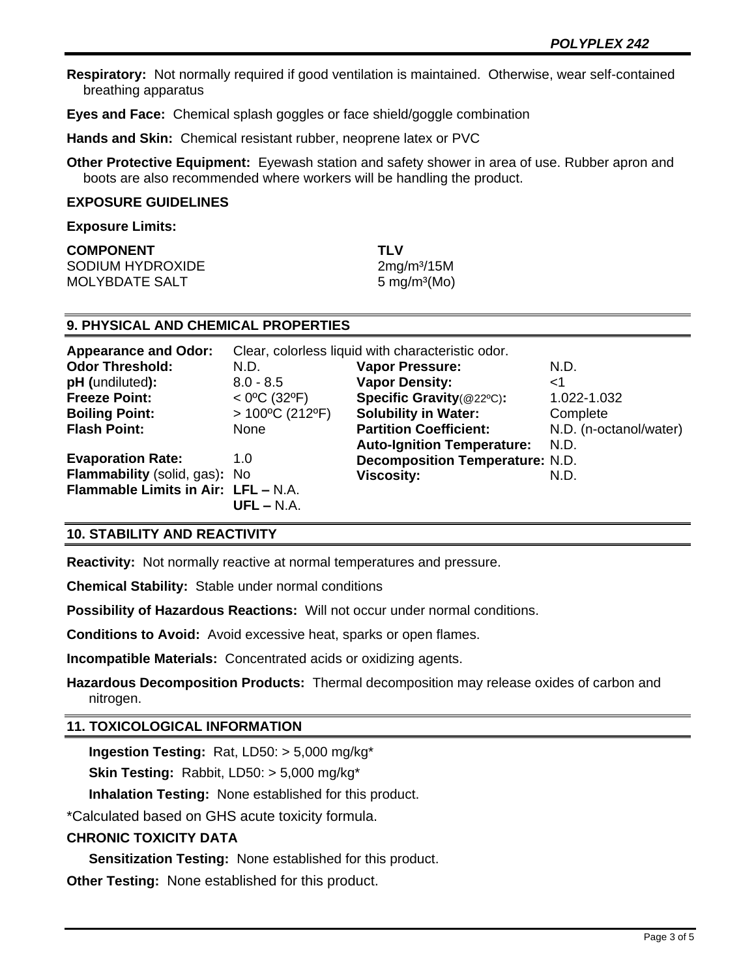**Respiratory:** Not normally required if good ventilation is maintained. Otherwise, wear self-contained breathing apparatus

**Eyes and Face:** Chemical splash goggles or face shield/goggle combination

**Hands and Skin:** Chemical resistant rubber, neoprene latex or PVC

**Other Protective Equipment:** Eyewash station and safety shower in area of use. Rubber apron and boots are also recommended where workers will be handling the product.

#### **EXPOSURE GUIDELINES**

#### **Exposure Limits:**

| <b>COMPONENT</b> | TI V                     |
|------------------|--------------------------|
| SODIUM HYDROXIDE | 2mg/m <sup>3</sup> /15M  |
| MOLYBDATE SALT   | 5 mg/m <sup>3</sup> (Mo) |

## **9. PHYSICAL AND CHEMICAL PROPERTIES**

| <b>Appearance and Odor:</b>         | Clear, colorless liquid with characteristic odor. |                                        |                        |
|-------------------------------------|---------------------------------------------------|----------------------------------------|------------------------|
| <b>Odor Threshold:</b>              | N.D.                                              | <b>Vapor Pressure:</b>                 | N.D.                   |
| pH (undiluted):                     | $8.0 - 8.5$                                       | <b>Vapor Density:</b>                  | ا>                     |
| <b>Freeze Point:</b>                | $<$ 0°C (32°F)                                    | Specific Gravity(@22°C):               | 1.022-1.032            |
| <b>Boiling Point:</b>               | $>100^{\circ}$ C (212°F)                          | <b>Solubility in Water:</b>            | Complete               |
| <b>Flash Point:</b>                 | None                                              | <b>Partition Coefficient:</b>          | N.D. (n-octanol/water) |
|                                     |                                                   | <b>Auto-Ignition Temperature:</b>      | N.D.                   |
| <b>Evaporation Rate:</b>            | 1.0                                               | <b>Decomposition Temperature: N.D.</b> |                        |
| Flammability (solid, gas): No       |                                                   | <b>Viscosity:</b>                      | N.D.                   |
| Flammable Limits in Air: LFL - N.A. |                                                   |                                        |                        |
|                                     | $UFL - N.A.$                                      |                                        |                        |

## **10. STABILITY AND REACTIVITY**

**Reactivity:** Not normally reactive at normal temperatures and pressure.

**Chemical Stability:** Stable under normal conditions

**Possibility of Hazardous Reactions:** Will not occur under normal conditions.

**Conditions to Avoid:** Avoid excessive heat, sparks or open flames.

**Incompatible Materials:** Concentrated acids or oxidizing agents.

**Hazardous Decomposition Products:** Thermal decomposition may release oxides of carbon and nitrogen.

# **11. TOXICOLOGICAL INFORMATION**

**Ingestion Testing:** Rat, LD50: > 5,000 mg/kg\*

**Skin Testing:** Rabbit, LD50: > 5,000 mg/kg\*

**Inhalation Testing:** None established for this product.

\*Calculated based on GHS acute toxicity formula.

# **CHRONIC TOXICITY DATA**

**Sensitization Testing:** None established for this product.

**Other Testing:** None established for this product.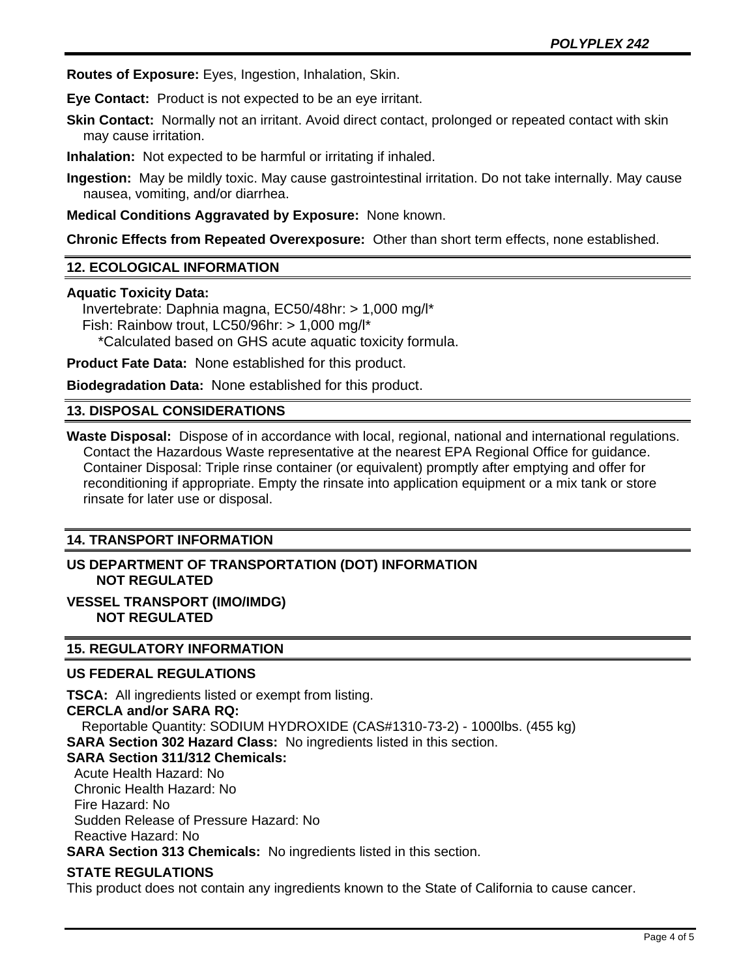**Routes of Exposure:** Eyes, Ingestion, Inhalation, Skin.

**Eye Contact:** Product is not expected to be an eye irritant.

**Skin Contact:** Normally not an irritant. Avoid direct contact, prolonged or repeated contact with skin may cause irritation.

**Inhalation:** Not expected to be harmful or irritating if inhaled.

**Ingestion:** May be mildly toxic. May cause gastrointestinal irritation. Do not take internally. May cause nausea, vomiting, and/or diarrhea.

**Medical Conditions Aggravated by Exposure:** None known.

**Chronic Effects from Repeated Overexposure:** Other than short term effects, none established.

## **12. ECOLOGICAL INFORMATION**

## **Aquatic Toxicity Data:**

 Invertebrate: Daphnia magna, EC50/48hr: > 1,000 mg/l\* Fish: Rainbow trout, LC50/96hr: > 1,000 mg/l\* \*Calculated based on GHS acute aquatic toxicity formula.

**Product Fate Data:** None established for this product.

**Biodegradation Data:** None established for this product.

## **13. DISPOSAL CONSIDERATIONS**

**Waste Disposal:** Dispose of in accordance with local, regional, national and international regulations. Contact the Hazardous Waste representative at the nearest EPA Regional Office for guidance. Container Disposal: Triple rinse container (or equivalent) promptly after emptying and offer for reconditioning if appropriate. Empty the rinsate into application equipment or a mix tank or store rinsate for later use or disposal.

## **14. TRANSPORT INFORMATION**

# **US DEPARTMENT OF TRANSPORTATION (DOT) INFORMATION NOT REGULATED**

## **VESSEL TRANSPORT (IMO/IMDG) NOT REGULATED**

## **15. REGULATORY INFORMATION**

## **US FEDERAL REGULATIONS**

**TSCA:** All ingredients listed or exempt from listing. **CERCLA and/or SARA RQ:**  Reportable Quantity: SODIUM HYDROXIDE (CAS#1310-73-2) - 1000lbs. (455 kg) **SARA Section 302 Hazard Class:** No ingredients listed in this section. **SARA Section 311/312 Chemicals:**  Acute Health Hazard: No Chronic Health Hazard: No

 Fire Hazard: No Sudden Release of Pressure Hazard: No Reactive Hazard: No

**SARA Section 313 Chemicals:** No ingredients listed in this section.

## **STATE REGULATIONS**

This product does not contain any ingredients known to the State of California to cause cancer.